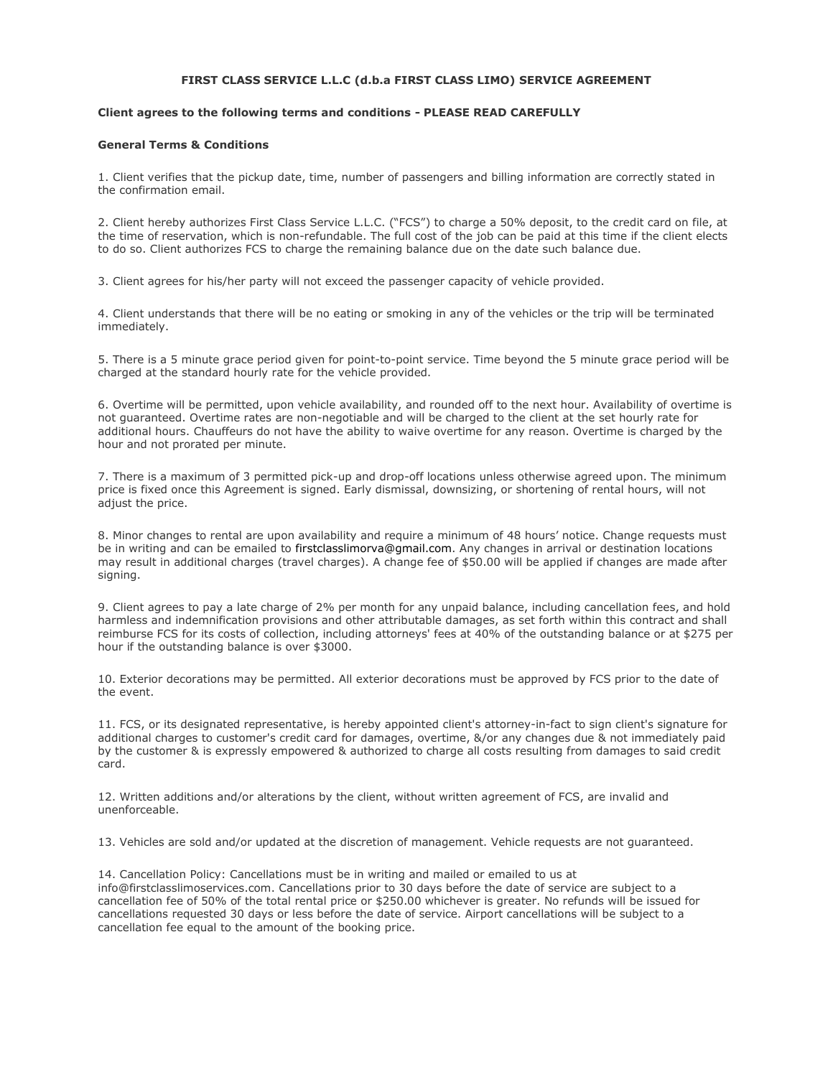## **FIRST CLASS SERVICE L.L.C (d.b.a FIRST CLASS LIMO) SERVICE AGREEMENT**

# **Client agrees to the following terms and conditions - PLEASE READ CAREFULLY**

## **General Terms & Conditions**

1. Client verifies that the pickup date, time, number of passengers and billing information are correctly stated in the confirmation email.

2. Client hereby authorizes First Class Service L.L.C. ("FCS") to charge a 50% deposit, to the credit card on file, at the time of reservation, which is non-refundable. The full cost of the job can be paid at this time if the client elects to do so. Client authorizes FCS to charge the remaining balance due on the date such balance due.

3. Client agrees for his/her party will not exceed the passenger capacity of vehicle provided.

4. Client understands that there will be no eating or smoking in any of the vehicles or the trip will be terminated immediately.

5. There is a 5 minute grace period given for point-to-point service. Time beyond the 5 minute grace period will be charged at the standard hourly rate for the vehicle provided.

6. Overtime will be permitted, upon vehicle availability, and rounded off to the next hour. Availability of overtime is not guaranteed. Overtime rates are non-negotiable and will be charged to the client at the set hourly rate for additional hours. Chauffeurs do not have the ability to waive overtime for any reason. Overtime is charged by the hour and not prorated per minute.

7. There is a maximum of 3 permitted pick-up and drop-off locations unless otherwise agreed upon. The minimum price is fixed once this Agreement is signed. Early dismissal, downsizing, or shortening of rental hours, will not adjust the price.

8. Minor changes to rental are upon availability and require a minimum of 48 hours' notice. Change requests must be in writing and can be emailed to firstclasslimorva@gmail.com. Any changes in arrival or destination locations may result in additional charges (travel charges). A change fee of \$50.00 will be applied if changes are made after signing.

9. Client agrees to pay a late charge of 2% per month for any unpaid balance, including cancellation fees, and hold harmless and indemnification provisions and other attributable damages, as set forth within this contract and shall reimburse FCS for its costs of collection, including attorneys' fees at 40% of the outstanding balance or at \$275 per hour if the outstanding balance is over \$3000.

10. Exterior decorations may be permitted. All exterior decorations must be approved by FCS prior to the date of the event.

11. FCS, or its designated representative, is hereby appointed client's attorney-in-fact to sign client's signature for additional charges to customer's credit card for damages, overtime, &/or any changes due & not immediately paid by the customer & is expressly empowered & authorized to charge all costs resulting from damages to said credit card.

12. Written additions and/or alterations by the client, without written agreement of FCS, are invalid and unenforceable.

13. Vehicles are sold and/or updated at the discretion of management. Vehicle requests are not guaranteed.

14. Cancellation Policy: Cancellations must be in writing and mailed or emailed to us at info@firstclasslimoservices.com. Cancellations prior to 30 days before the date of service are subject to a cancellation fee of 50% of the total rental price or \$250.00 whichever is greater. No refunds will be issued for cancellations requested 30 days or less before the date of service. Airport cancellations will be subject to a cancellation fee equal to the amount of the booking price.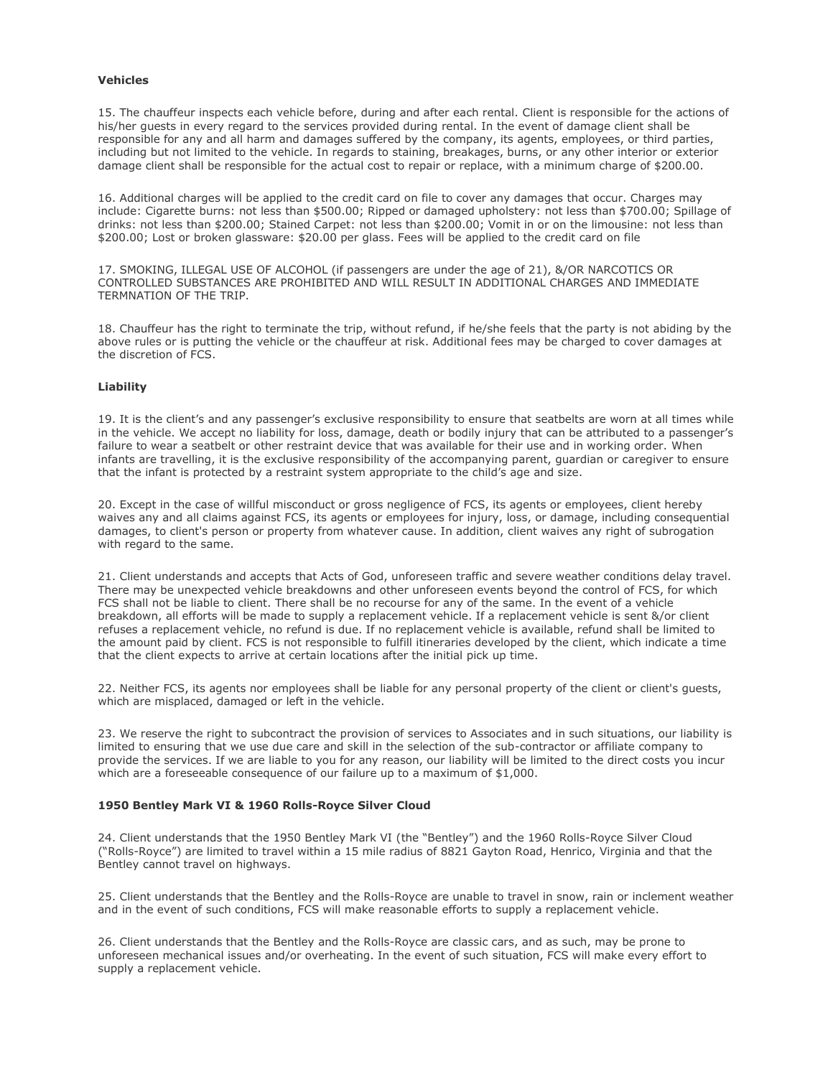#### **Vehicles**

15. The chauffeur inspects each vehicle before, during and after each rental. Client is responsible for the actions of his/her guests in every regard to the services provided during rental. In the event of damage client shall be responsible for any and all harm and damages suffered by the company, its agents, employees, or third parties, including but not limited to the vehicle. In regards to staining, breakages, burns, or any other interior or exterior damage client shall be responsible for the actual cost to repair or replace, with a minimum charge of \$200.00.

16. Additional charges will be applied to the credit card on file to cover any damages that occur. Charges may include: Cigarette burns: not less than \$500.00; Ripped or damaged upholstery: not less than \$700.00; Spillage of drinks: not less than \$200.00; Stained Carpet: not less than \$200.00; Vomit in or on the limousine: not less than \$200.00; Lost or broken glassware: \$20.00 per glass. Fees will be applied to the credit card on file

17. SMOKING, ILLEGAL USE OF ALCOHOL (if passengers are under the age of 21), &/OR NARCOTICS OR CONTROLLED SUBSTANCES ARE PROHIBITED AND WILL RESULT IN ADDITIONAL CHARGES AND IMMEDIATE TERMNATION OF THE TRIP.

18. Chauffeur has the right to terminate the trip, without refund, if he/she feels that the party is not abiding by the above rules or is putting the vehicle or the chauffeur at risk. Additional fees may be charged to cover damages at the discretion of FCS.

## **Liability**

19. It is the client's and any passenger's exclusive responsibility to ensure that seatbelts are worn at all times while in the vehicle. We accept no liability for loss, damage, death or bodily injury that can be attributed to a passenger's failure to wear a seatbelt or other restraint device that was available for their use and in working order. When infants are travelling, it is the exclusive responsibility of the accompanying parent, guardian or caregiver to ensure that the infant is protected by a restraint system appropriate to the child's age and size.

20. Except in the case of willful misconduct or gross negligence of FCS, its agents or employees, client hereby waives any and all claims against FCS, its agents or employees for injury, loss, or damage, including consequential damages, to client's person or property from whatever cause. In addition, client waives any right of subrogation with regard to the same.

21. Client understands and accepts that Acts of God, unforeseen traffic and severe weather conditions delay travel. There may be unexpected vehicle breakdowns and other unforeseen events beyond the control of FCS, for which FCS shall not be liable to client. There shall be no recourse for any of the same. In the event of a vehicle breakdown, all efforts will be made to supply a replacement vehicle. If a replacement vehicle is sent &/or client refuses a replacement vehicle, no refund is due. If no replacement vehicle is available, refund shall be limited to the amount paid by client. FCS is not responsible to fulfill itineraries developed by the client, which indicate a time that the client expects to arrive at certain locations after the initial pick up time.

22. Neither FCS, its agents nor employees shall be liable for any personal property of the client or client's guests, which are misplaced, damaged or left in the vehicle.

23. We reserve the right to subcontract the provision of services to Associates and in such situations, our liability is limited to ensuring that we use due care and skill in the selection of the sub-contractor or affiliate company to provide the services. If we are liable to you for any reason, our liability will be limited to the direct costs you incur which are a foreseeable consequence of our failure up to a maximum of \$1,000.

#### **1950 Bentley Mark VI & 1960 Rolls-Royce Silver Cloud**

24. Client understands that the 1950 Bentley Mark VI (the "Bentley") and the 1960 Rolls-Royce Silver Cloud ("Rolls-Royce") are limited to travel within a 15 mile radius of 8821 Gayton Road, Henrico, Virginia and that the Bentley cannot travel on highways.

25. Client understands that the Bentley and the Rolls-Royce are unable to travel in snow, rain or inclement weather and in the event of such conditions, FCS will make reasonable efforts to supply a replacement vehicle.

26. Client understands that the Bentley and the Rolls-Royce are classic cars, and as such, may be prone to unforeseen mechanical issues and/or overheating. In the event of such situation, FCS will make every effort to supply a replacement vehicle.